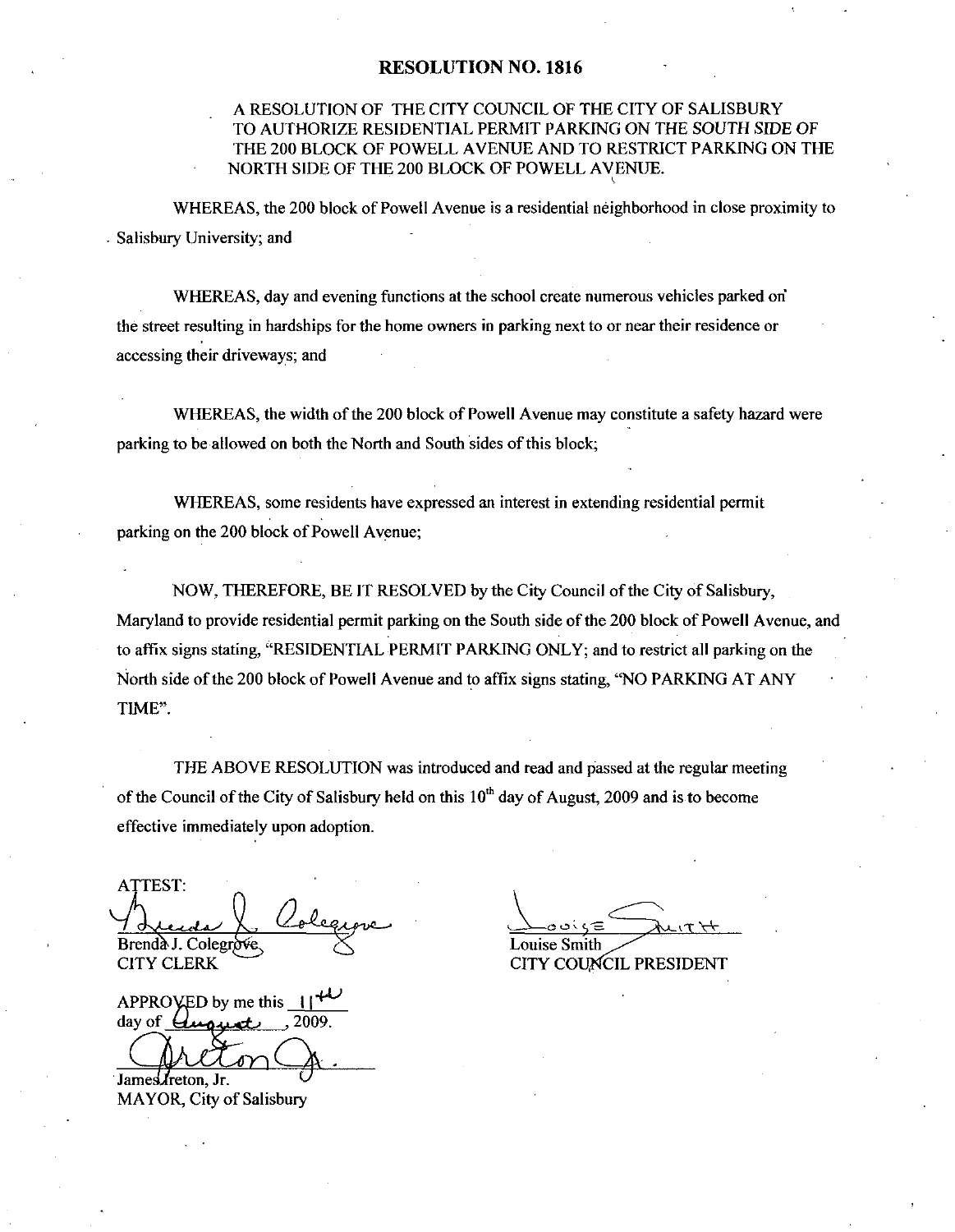## RESOLUTION NO. 1816

## A RESOLUTION OF THE CITY COUNCIL OF THE CITY OF SALISBURY TO AUTHORIZE RESIDENTIAL PERMIT PARKING ON THE SOUTH SIDE OF THE 200 BLOCK OF POWELL AVENUE AND TO RESTRICT PARKING ON THE NORTH SIDE OF THE 200 BLOCK OF POWELL AVENUE

WHEREAS, the 200 block of Powell Avenue is a residential neighborhood in close proximity to . Salisbury University; and

WHEREAS, day and evening functions at the school create numerous vehicles parked on the street resulting in hardships for the home owners in parking next to or near their residence or accessing their driveways; and

WHEREAS, the width of the 200 block of Powell Avenue may constitute a safety hazard were parking to be allowed on both the North and South sides of this block;

WHEREAS, some residents have expressed an interest in extending residential permit parking on the 200 block of Powell Avenue;

NOW, THEREFORE, BE IT RESOLVED by the City Council of the City of Salisbury, Maryland to provide residential permit parking on the South side of the 200 block of Powell Avenue, and to affix signs stating, "RESIDENTIAL PERMIT PARKING ONLY; and to restrict all parking on the North side of the 200 block of Powell Avenue and to affix signs stating, "NO PARKING AT ANY TIME".

THE ABOVE RESOLUTION was introduced and read and passed at the regular meeting of the Council of the City of Salisbury held on this  $10<sup>th</sup>$  day of August, 2009 and is to become effective immediately upon adoption

ATTEST Ln Brenda J. Colegrove. **CITY CLERK** 

APPROVED by me this  $\frac{11^{44}}{2009}$ day of  $U$ upu

James *I*reton, Jr. MAYOR, City of Salisbury

س<br>استان<br>Louise Smith  $\overline{H}$ 

CITY COUNCIL PRESIDENT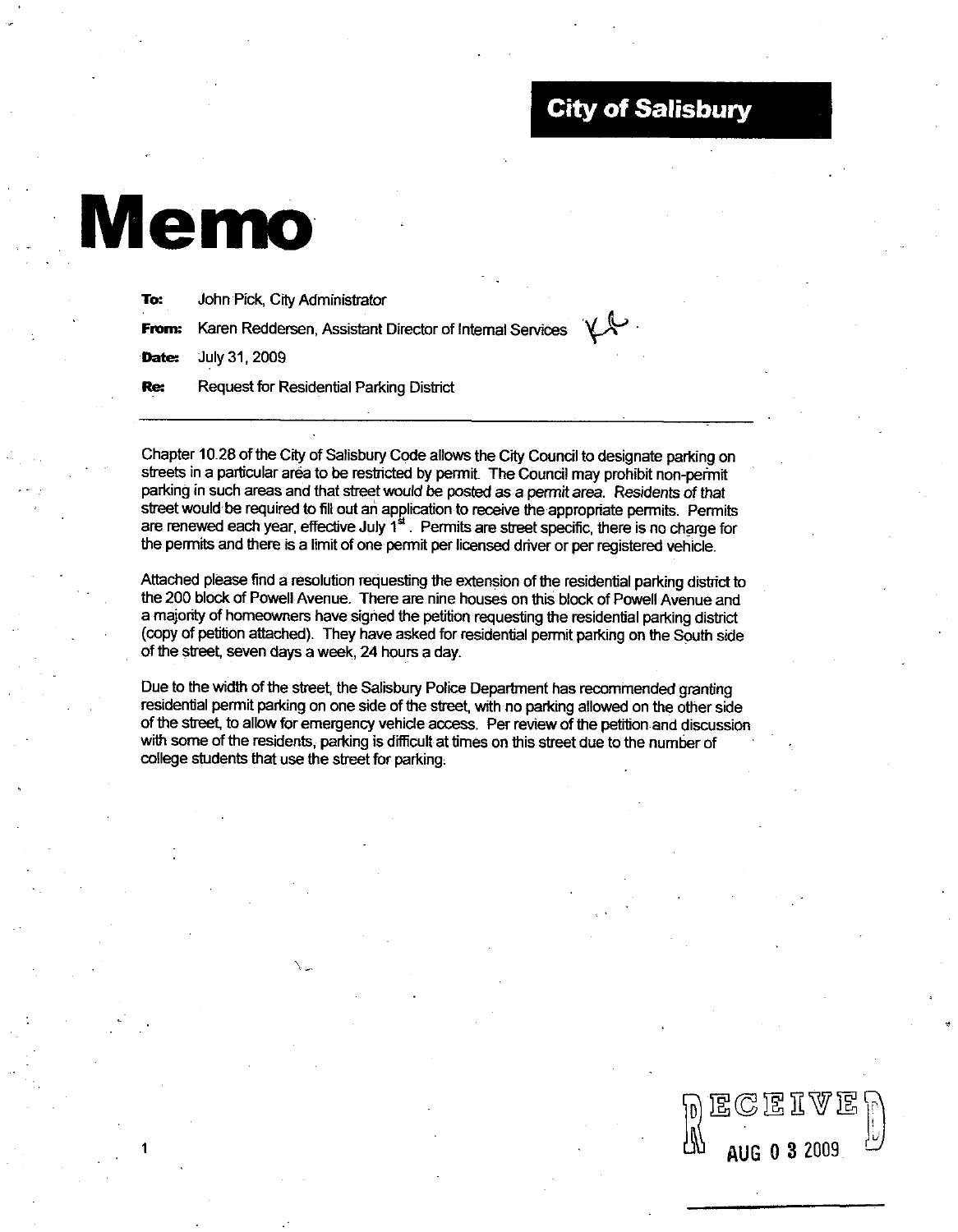## City of Salisbury

dS

AUG 0 3 2009

# Memo

| To:        | John Pick, City Administrator                                    |  |
|------------|------------------------------------------------------------------|--|
|            | From: Karen Reddersen, Assistant Director of Internal Services V |  |
|            | <b>Date:</b> July 31, 2009                                       |  |
| <b>Re:</b> | Request for Residential Parking District                         |  |

Chapter 10.28 of the City of Salisbury Code allows the City Council to designate parking on streets in a particular area to be restricted by permit. The Council may prohibit non-permit parking in such areas and that street would be posted as a permit area. Residents of that street would be required to fill out an application to receive the appropriate permits. Permits are renewed each year, effective July 1<sup>\*</sup>. Permits are street specific, there is no charge for the permits and there is a limit of one permit per licensed driver or per registered vehicle.

Attached please find a resolution requesting the extension of the residential parking district to the 200 block of Powell Avenue. There are nine houses on this block of Powell Avenue and a majority of homeowners have signed the petition requesting the residential parking district (copy of petition attached). They have asked for residential permit parking on the South side of the street, seven days a week, 24 hours a day.

Due to the width of the street, the Salisbury Police Department has recommended granting residential permit parking on one side of the street, with no parking allowed on the other side of the street, to allow for emergency vehicle access. Per review of the petition and discussion with some of the residents, parking is difficult at times on this street due to the number of college students that use the street for parking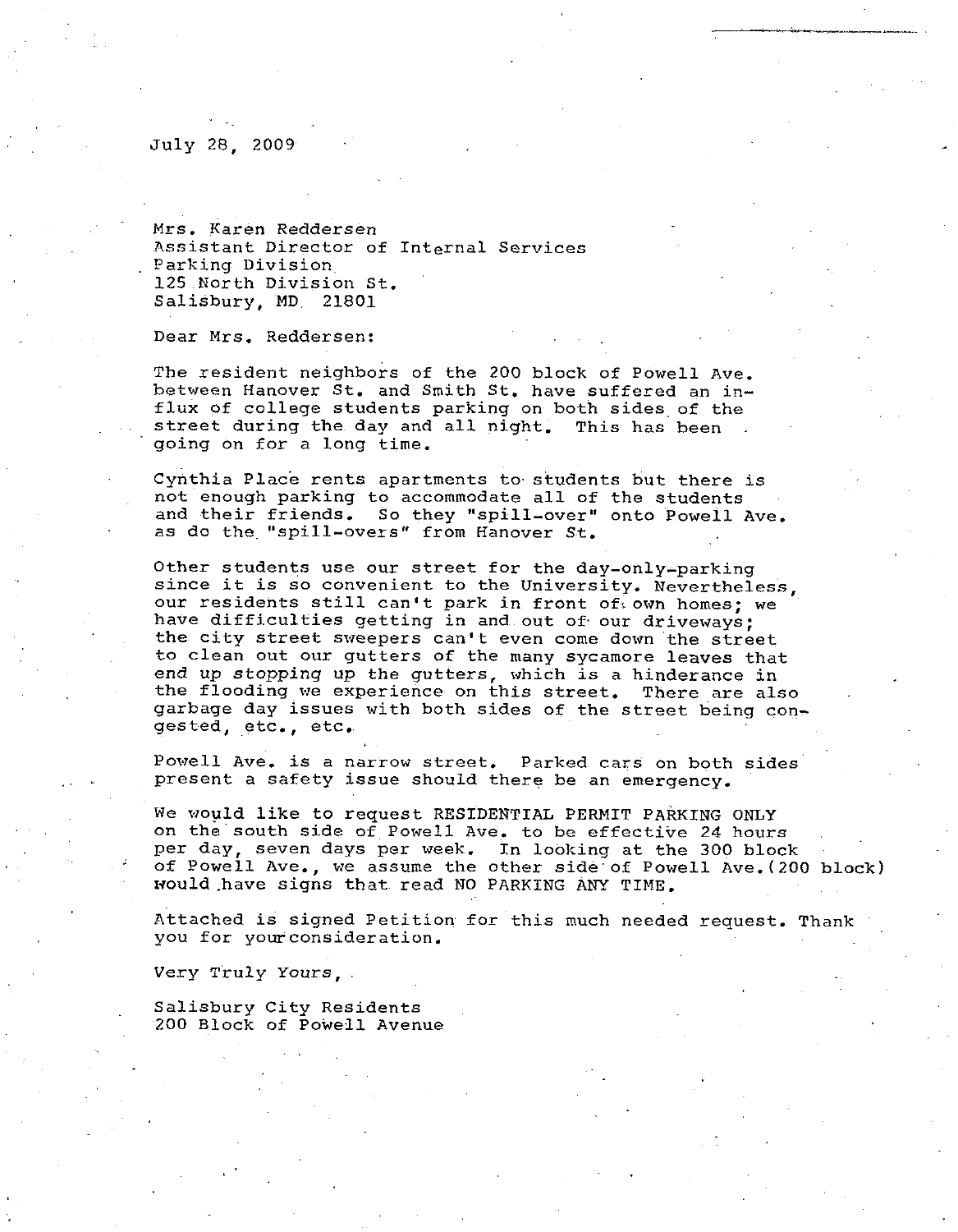#### July 28 2009

Mrs. Karen Reddersen Assistant Director of Internal Services Parking Division <sup>125</sup> North Division St Salisbury MD 21801

Dear Mrs. Reddersen:

The resident neighbors of the <sup>200</sup> block of Powell Ave The resident neighbors of the 200 block of Powell Ave.<br>between Hanover St. and Smith St. have suffered an in-<br>flux of college students parking on both sides of the between Hanover St. and Smith St. have suffered an in-<br>flux of college students parking on both sides of the street during the day and all night. This has been going on for a long time

Cynthia Place rents apartments to students but there is cynthia riace rents apartments to students but there<br>not enough parking to accommodate all of the students Cynthia Place rents apartments to students but there is<br>not enough parking to accommodate all of the students<br>and their friends. So they "spill-over" onto Powell Ave.<br>as do the "spill-overs" from Hanover St. going on for a long time.<br>Cynthia Place rents apartments to studer<br>not enough parking to accommodate all of<br>and their friends. So they "spill-over"<br>as do the "spill-overs" from Hanover St.<br>Other students use our street for not enough parking to accommodate all of the students<br>and their friends. So they "spill-over" onto Powell Ave.<br>as do the "spill-overs" from Hanover St.<br>Other students use our street for the day-only-parking<br>since it is so

The resident neighbors of the 200 block of Powell Ave.<br>between Hanover St. and Smith St. have suffered an in-<br>flux of college students parking on both sides of the<br>street during the day and all night. This has been<br>going o our residents still can't park in front of own homes; we<br>have difficulties getting in and out of our driveways;<br>the city street sweepers can't even come down the street The resident neighbors of the 200 block of Powell Ave.<br>between Hanover St. and Smith St, have suffered an in-<br>filux of college students parking on both sides of the<br>street during the day and all night. This has been<br>going to clean out our gutters of the many sycamore leaves that end up stopping up the gutters, which is a hinderance in the flooding we experience on this street. There are also garbage day issues with both sides of the street being con gested, etc., etc.

Powell Ave, is a narrow street. Parked cars on both sides present a safety issue should there be an emergency.

we would like to request RESIDENTIAL PERMIT PARKING ONLY on the south side of Powell Ave, to be effective 24 hours per day, seven days per week. In looking at the 300 block We would like to request RESIDENTIAL PERMIT PARKING ONLY<br>on the south side of Powell Ave, to be effective 24 hours<br>per day, seven days per week. In looking at the 300 block<br>of Powell Ave., we assume the other side of Powel

Attached is signed Petition for this much needed request. Thank you for your consideration

Very Truly Yours

Salisbury City Residents 200 Block of Powell Avenue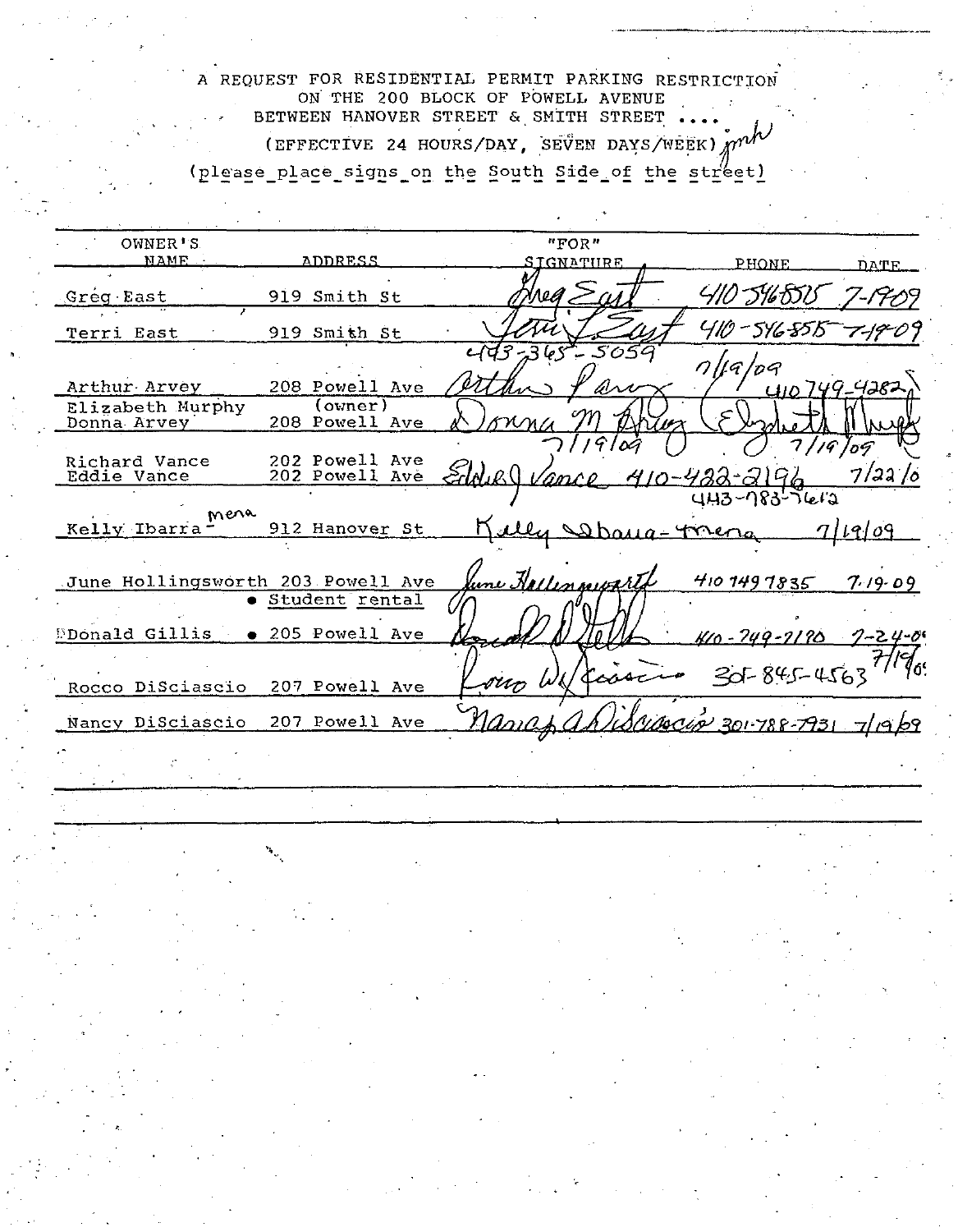A REQUEST FOR RESIDENTIAL PERMIT PARKING RESTRICTION ON THE 200 BLOCK OF POWELL AVENUE BETWEEN HANOVER STREET & SMITH STREET (EFFECTIVE 24 HOURS/DAY, SEVEN DAYS/WEEK) mm (please place signs on the South Side of the street)

OWNER'S "FOR" **NAME** ADDRESS <u>SIGNATURF</u> PHONE DATE 410 5165513 'Ne*O* Greg East 919 Smith St 410 - 516 5515 919 Smith St Terri East ب م 5 659  $7$ llq/pq  $410749 - 4282$ Arthur Arvey 208 Powell Ave  $\overline{(over)}$ Elizabeth Murphy 208 Powell Ave Donna Arvey 19 109 Richard Vance<br>Eddie Vance 202 Powell Ave<br>202 Powell Ave  $7/22/0$ 410-422-2190 <u>ance</u>  $443 - 183 - 1612$ Kelly Ibarra Mena 912 Hanover St n <u>ally Sama-Torena</u> <u>7/19/09</u> une Hallenmegart June Hollingsworth 203 Powell Ave  $4101491835$  $7.19.09$ · Student rental Donald Gillis | . 205 Powell Ave <u> Kro - 249 - 2190 </u>  $7 - 24 - 06$ 7٥.  $30 - 845 - 4563$ sum W 207 Powell Ave Rocco DiSciascio Mariap 207 Powell Ave 1 SALAOCLOV 201-788-7931 71969 Nancy DiSciascio